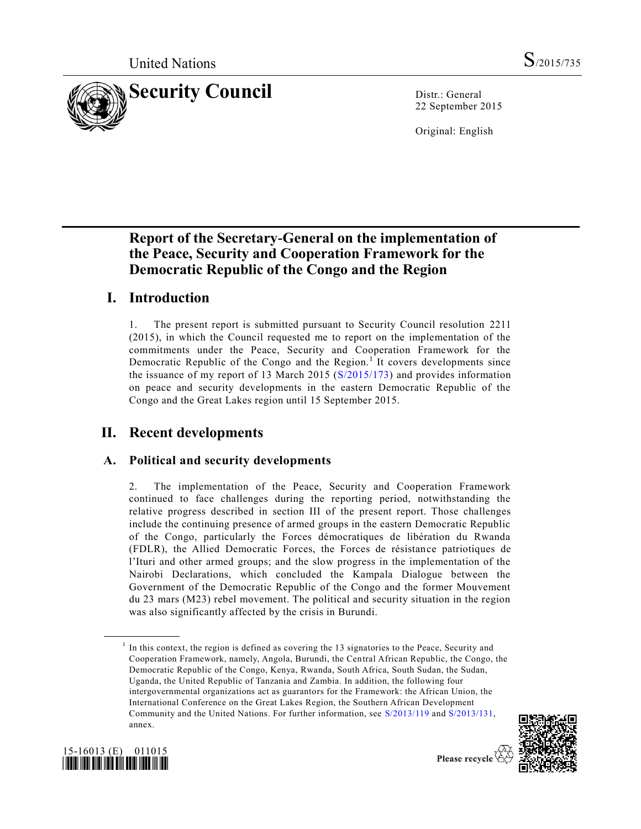

22 September 2015

Original: English

# **Report of the Secretary-General on the implementation of the Peace, Security and Cooperation Framework for the Democratic Republic of the Congo and the Region**

# **I. Introduction**

1. The present report is submitted pursuant to Security Council resolution 2211 (2015), in which the Council requested me to report on the implementation of the commitments under the Peace, Security and Cooperation Framework for the Democratic Republic of the Congo and the Region.<sup>1</sup> It covers developments since the issuance of my report of 13 March 2015 [\(S/2015/173\)](http://undocs.org/S/2015/173) and provides information on peace and security developments in the eastern Democratic Republic of the Congo and the Great Lakes region until 15 September 2015.

# **II. Recent developments**

## **A. Political and security developments**

2. The implementation of the Peace, Security and Cooperation Framework continued to face challenges during the reporting period, notwithstanding the relative progress described in section III of the present report. Those challenges include the continuing presence of armed groups in the eastern Democratic Republic of the Congo, particularly the Forces démocratiques de libération du Rwanda (FDLR), the Allied Democratic Forces, the Forces de résistance patriotiques de l'Ituri and other armed groups; and the slow progress in the implementation of the Nairobi Declarations, which concluded the Kampala Dialogue between the Government of the Democratic Republic of the Congo and the former Mouvement du 23 mars (M23) rebel movement. The political and security situation in the region was also significantly affected by the crisis in Burundi.

<sup>&</sup>lt;sup>1</sup> In this context, the region is defined as covering the 13 signatories to the Peace, Security and Cooperation Framework, namely, Angola, Burundi, the Central African Republic, the Congo, the Democratic Republic of the Congo, Kenya, Rwanda, South Africa, South Sudan, the Sudan, Uganda, the United Republic of Tanzania and Zambia. In addition, the following four intergovernmental organizations act as guarantors for the Framework: the African Union, the International Conference on the Great Lakes Region, the Southern African Development Community and the United Nations. For further information, see [S/2013/119](http://undocs.org/S/2013/119) and [S/2013/131,](http://undocs.org/S/2013/131)  annex.





**\_\_\_\_\_\_\_\_\_\_\_\_\_\_\_\_\_\_**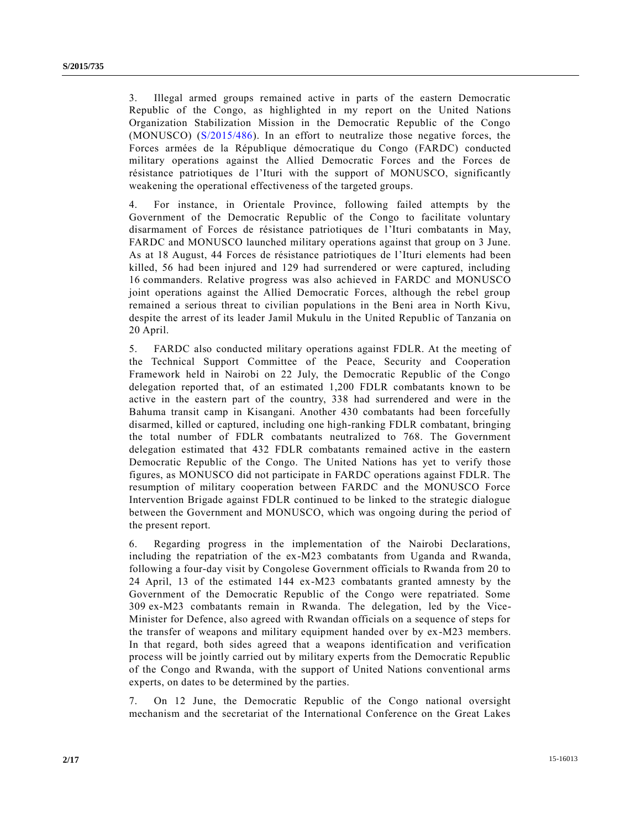3. Illegal armed groups remained active in parts of the eastern Democratic Republic of the Congo, as highlighted in my report on the United Nations Organization Stabilization Mission in the Democratic Republic of the Congo (MONUSCO) [\(S/2015/486\)](http://undocs.org/S/2015/486). In an effort to neutralize those negative forces, the Forces armées de la République démocratique du Congo (FARDC) conducted military operations against the Allied Democratic Forces and the Forces de résistance patriotiques de l'Ituri with the support of MONUSCO, significantly weakening the operational effectiveness of the targeted groups.

4. For instance, in Orientale Province, following failed attempts by the Government of the Democratic Republic of the Congo to facilitate voluntary disarmament of Forces de résistance patriotiques de l'Ituri combatants in May, FARDC and MONUSCO launched military operations against that group on 3 June. As at 18 August, 44 Forces de résistance patriotiques de l'Ituri elements had been killed, 56 had been injured and 129 had surrendered or were captured, including 16 commanders. Relative progress was also achieved in FARDC and MONUSCO joint operations against the Allied Democratic Forces, although the rebel group remained a serious threat to civilian populations in the Beni area in North Kivu, despite the arrest of its leader Jamil Mukulu in the United Republic of Tanzania on 20 April.

5. FARDC also conducted military operations against FDLR. At the meeting of the Technical Support Committee of the Peace, Security and Cooperation Framework held in Nairobi on 22 July, the Democratic Republic of the Congo delegation reported that, of an estimated 1,200 FDLR combatants known to be active in the eastern part of the country, 338 had surrendered and were in the Bahuma transit camp in Kisangani. Another 430 combatants had been forcefully disarmed, killed or captured, including one high-ranking FDLR combatant, bringing the total number of FDLR combatants neutralized to 768. The Government delegation estimated that 432 FDLR combatants remained active in the eastern Democratic Republic of the Congo. The United Nations has yet to verify those figures, as MONUSCO did not participate in FARDC operations against FDLR. The resumption of military cooperation between FARDC and the MONUSCO Force Intervention Brigade against FDLR continued to be linked to the strategic dialogue between the Government and MONUSCO, which was ongoing during the period of the present report.

6. Regarding progress in the implementation of the Nairobi Declarations, including the repatriation of the ex-M23 combatants from Uganda and Rwanda, following a four-day visit by Congolese Government officials to Rwanda from 20 to 24 April, 13 of the estimated 144 ex-M23 combatants granted amnesty by the Government of the Democratic Republic of the Congo were repatriated. Some 309 ex-M23 combatants remain in Rwanda. The delegation, led by the Vice-Minister for Defence, also agreed with Rwandan officials on a sequence of steps for the transfer of weapons and military equipment handed over by ex-M23 members. In that regard, both sides agreed that a weapons identification and verification process will be jointly carried out by military experts from the Democratic Republic of the Congo and Rwanda, with the support of United Nations conventional arms experts, on dates to be determined by the parties.

7. On 12 June, the Democratic Republic of the Congo national oversight mechanism and the secretariat of the International Conference on the Great Lakes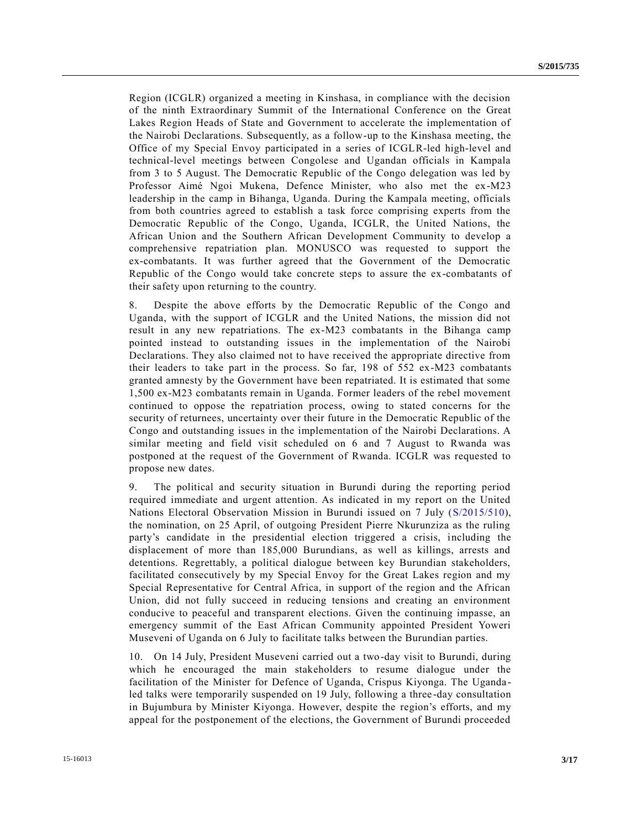Region (ICGLR) organized a meeting in Kinshasa, in compliance with the decision of the ninth Extraordinary Summit of the International Conference on the Great Lakes Region Heads of State and Government to accelerate the implementation of the Nairobi Declarations. Subsequently, as a follow-up to the Kinshasa meeting, the Office of my Special Envoy participated in a series of ICGLR-led high-level and technical-level meetings between Congolese and Ugandan officials in Kampala from 3 to 5 August. The Democratic Republic of the Congo delegation was led by Professor Aimé Ngoi Mukena, Defence Minister, who also met the ex-M23 leadership in the camp in Bihanga, Uganda. During the Kampala meeting, officials from both countries agreed to establish a task force comprising experts from the Democratic Republic of the Congo, Uganda, ICGLR, the United Nations, the African Union and the Southern African Development Community to develop a comprehensive repatriation plan. MONUSCO was requested to support the ex-combatants. It was further agreed that the Government of the Democratic Republic of the Congo would take concrete steps to assure the ex-combatants of their safety upon returning to the country.

8. Despite the above efforts by the Democratic Republic of the Congo and Uganda, with the support of ICGLR and the United Nations, the mission did not result in any new repatriations. The ex-M23 combatants in the Bihanga camp pointed instead to outstanding issues in the implementation of the Nairobi Declarations. They also claimed not to have received the appropriate directive from their leaders to take part in the process. So far, 198 of 552 ex-M23 combatants granted amnesty by the Government have been repatriated. It is estimated that some 1,500 ex-M23 combatants remain in Uganda. Former leaders of the rebel movement continued to oppose the repatriation process, owing to stated concerns for the security of returnees, uncertainty over their future in the Democratic Republic of the Congo and outstanding issues in the implementation of the Nairobi Declarations. A similar meeting and field visit scheduled on 6 and 7 August to Rwanda was postponed at the request of the Government of Rwanda. ICGLR was requested to propose new dates.

9. The political and security situation in Burundi during the reporting period required immediate and urgent attention. As indicated in my report on the United Nations Electoral Observation Mission in Burundi issued on 7 July [\(S/2015/510\)](http://undocs.org/S/2015/510), the nomination, on 25 April, of outgoing President Pierre Nkurunziza as the ruling party's candidate in the presidential election triggered a crisis, including the displacement of more than 185,000 Burundians, as well as killings, arrests and detentions. Regrettably, a political dialogue between key Burundian stakeholders, facilitated consecutively by my Special Envoy for the Great Lakes region and my Special Representative for Central Africa, in support of the region and the African Union, did not fully succeed in reducing tensions and creating an environment conducive to peaceful and transparent elections. Given the continuing impasse, an emergency summit of the East African Community appointed President Yoweri Museveni of Uganda on 6 July to facilitate talks between the Burundian parties.

10. On 14 July, President Museveni carried out a two-day visit to Burundi, during which he encouraged the main stakeholders to resume dialogue under the facilitation of the Minister for Defence of Uganda, Crispus Kiyonga. The Uganda led talks were temporarily suspended on 19 July, following a three -day consultation in Bujumbura by Minister Kiyonga. However, despite the region's efforts, and my appeal for the postponement of the elections, the Government of Burundi proceeded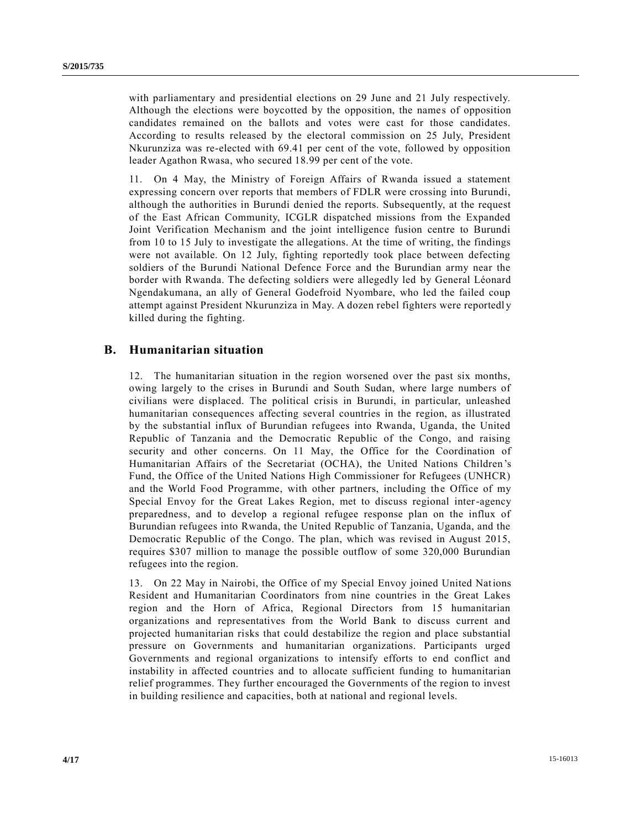with parliamentary and presidential elections on 29 June and 21 July respectively. Although the elections were boycotted by the opposition, the names of opposition candidates remained on the ballots and votes were cast for those candidates. According to results released by the electoral commission on 25 July, President Nkurunziza was re-elected with 69.41 per cent of the vote, followed by opposition leader Agathon Rwasa, who secured 18.99 per cent of the vote.

11. On 4 May, the Ministry of Foreign Affairs of Rwanda issued a statement expressing concern over reports that members of FDLR were crossing into Burundi, although the authorities in Burundi denied the reports. Subsequently, at the request of the East African Community, ICGLR dispatched missions from the Expanded Joint Verification Mechanism and the joint intelligence fusion centre to Burundi from 10 to 15 July to investigate the allegations. At the time of writing, the findings were not available. On 12 July, fighting reportedly took place between defecting soldiers of the Burundi National Defence Force and the Burundian army near the border with Rwanda. The defecting soldiers were allegedly led by General Léonard Ngendakumana, an ally of General Godefroid Nyombare, who led the failed coup attempt against President Nkurunziza in May. A dozen rebel fighters were reportedl y killed during the fighting.

#### **B. Humanitarian situation**

12. The humanitarian situation in the region worsened over the past six months, owing largely to the crises in Burundi and South Sudan, where large numbers of civilians were displaced. The political crisis in Burundi, in particular, unleashed humanitarian consequences affecting several countries in the region, as illustrated by the substantial influx of Burundian refugees into Rwanda, Uganda, the United Republic of Tanzania and the Democratic Republic of the Congo, and raising security and other concerns. On 11 May, the Office for the Coordination of Humanitarian Affairs of the Secretariat (OCHA), the United Nations Children's Fund, the Office of the United Nations High Commissioner for Refugees (UNHCR) and the World Food Programme, with other partners, including the Office of my Special Envoy for the Great Lakes Region, met to discuss regional inter-agency preparedness, and to develop a regional refugee response plan on the influx of Burundian refugees into Rwanda, the United Republic of Tanzania, Uganda, and the Democratic Republic of the Congo. The plan, which was revised in August 2015, requires \$307 million to manage the possible outflow of some 320,000 Burundian refugees into the region.

13. On 22 May in Nairobi, the Office of my Special Envoy joined United Nations Resident and Humanitarian Coordinators from nine countries in the Great Lakes region and the Horn of Africa, Regional Directors from 15 humanitarian organizations and representatives from the World Bank to discuss current and projected humanitarian risks that could destabilize the region and place substantial pressure on Governments and humanitarian organizations. Participants urged Governments and regional organizations to intensify efforts to end conflict and instability in affected countries and to allocate sufficient funding to humanitarian relief programmes. They further encouraged the Governments of the region to invest in building resilience and capacities, both at national and regional levels.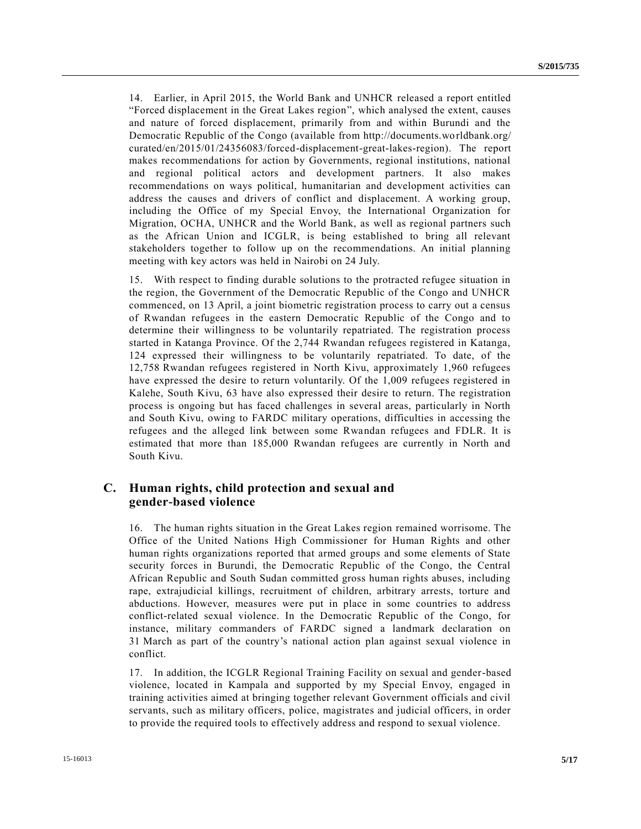14. Earlier, in April 2015, the World Bank and UNHCR released a report entitled "Forced displacement in the Great Lakes region", which analysed the extent, causes and nature of forced displacement, primarily from and within Burundi and the Democratic Republic of the Congo (available from http://documents.worldbank.org/ curated/en/2015/01/24356083/forced-displacement-great-lakes-region). The report makes recommendations for action by Governments, regional institutions, national and regional political actors and development partners. It also makes recommendations on ways political, humanitarian and development activities can address the causes and drivers of conflict and displacement. A working group, including the Office of my Special Envoy, the International Organization for Migration, OCHA, UNHCR and the World Bank, as well as regional partners such as the African Union and ICGLR, is being established to bring all relevant stakeholders together to follow up on the recommendations. An initial planning meeting with key actors was held in Nairobi on 24 July.

15. With respect to finding durable solutions to the protracted refugee situation in the region, the Government of the Democratic Republic of the Congo and UNHCR commenced, on 13 April, a joint biometric registration process to carry out a census of Rwandan refugees in the eastern Democratic Republic of the Congo and to determine their willingness to be voluntarily repatriated. The registration process started in Katanga Province. Of the 2,744 Rwandan refugees registered in Katanga, 124 expressed their willingness to be voluntarily repatriated. To date, of the 12,758 Rwandan refugees registered in North Kivu, approximately 1,960 refugees have expressed the desire to return voluntarily. Of the 1,009 refugees registered in Kalehe, South Kivu, 63 have also expressed their desire to return. The registration process is ongoing but has faced challenges in several areas, particularly in North and South Kivu, owing to FARDC military operations, difficulties in accessing the refugees and the alleged link between some Rwandan refugees and FDLR. It is estimated that more than 185,000 Rwandan refugees are currently in North and South Kivu.

### **C. Human rights, child protection and sexual and gender-based violence**

16. The human rights situation in the Great Lakes region remained worrisome. The Office of the United Nations High Commissioner for Human Rights and other human rights organizations reported that armed groups and some elements of State security forces in Burundi, the Democratic Republic of the Congo, the Central African Republic and South Sudan committed gross human rights abuses, including rape, extrajudicial killings, recruitment of children, arbitrary arrests, torture and abductions. However, measures were put in place in some countries to address conflict-related sexual violence. In the Democratic Republic of the Congo, for instance, military commanders of FARDC signed a landmark declaration on 31 March as part of the country's national action plan against sexual violence in conflict.

17. In addition, the ICGLR Regional Training Facility on sexual and gender-based violence, located in Kampala and supported by my Special Envoy, engaged in training activities aimed at bringing together relevant Government officials and civil servants, such as military officers, police, magistrates and judicial officers, in order to provide the required tools to effectively address and respond to sexual violence.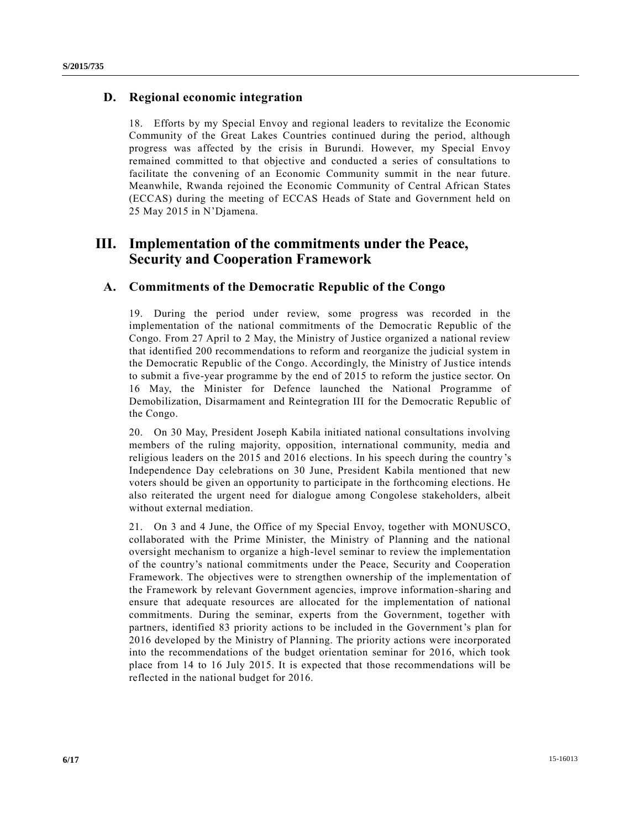### **D. Regional economic integration**

18. Efforts by my Special Envoy and regional leaders to revitalize the Economic Community of the Great Lakes Countries continued during the period, although progress was affected by the crisis in Burundi. However, my Special Envoy remained committed to that objective and conducted a series of consultations to facilitate the convening of an Economic Community summit in the near future. Meanwhile, Rwanda rejoined the Economic Community of Central African States (ECCAS) during the meeting of ECCAS Heads of State and Government held on 25 May 2015 in N'Djamena.

## **III. Implementation of the commitments under the Peace, Security and Cooperation Framework**

### **A. Commitments of the Democratic Republic of the Congo**

19. During the period under review, some progress was recorded in the implementation of the national commitments of the Democratic Republic of the Congo. From 27 April to 2 May, the Ministry of Justice organized a national review that identified 200 recommendations to reform and reorganize the judicial system in the Democratic Republic of the Congo. Accordingly, the Ministry of Justice intends to submit a five-year programme by the end of 2015 to reform the justice sector. On 16 May, the Minister for Defence launched the National Programme of Demobilization, Disarmament and Reintegration III for the Democratic Republic of the Congo.

20. On 30 May, President Joseph Kabila initiated national consultations involving members of the ruling majority, opposition, international community, media and religious leaders on the 2015 and 2016 elections. In his speech during the country 's Independence Day celebrations on 30 June, President Kabila mentioned that new voters should be given an opportunity to participate in the forthcoming elections. He also reiterated the urgent need for dialogue among Congolese stakeholders, albeit without external mediation.

21. On 3 and 4 June, the Office of my Special Envoy, together with MONUSCO, collaborated with the Prime Minister, the Ministry of Planning and the national oversight mechanism to organize a high-level seminar to review the implementation of the country's national commitments under the Peace, Security and Cooperation Framework. The objectives were to strengthen ownership of the implementation of the Framework by relevant Government agencies, improve information-sharing and ensure that adequate resources are allocated for the implementation of national commitments. During the seminar, experts from the Government, together with partners, identified 83 priority actions to be included in the Government's plan for 2016 developed by the Ministry of Planning. The priority actions were incorporated into the recommendations of the budget orientation seminar for 2016, which took place from 14 to 16 July 2015. It is expected that those recommendations will be reflected in the national budget for 2016.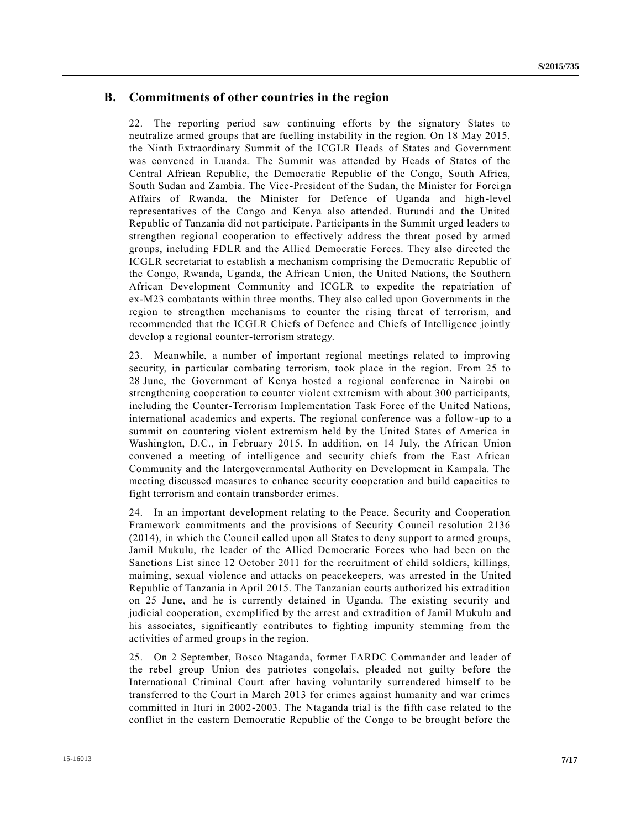### **B. Commitments of other countries in the region**

22. The reporting period saw continuing efforts by the signatory States to neutralize armed groups that are fuelling instability in the region. On 18 May 2015, the Ninth Extraordinary Summit of the ICGLR Heads of States and Government was convened in Luanda. The Summit was attended by Heads of States of the Central African Republic, the Democratic Republic of the Congo, South Africa, South Sudan and Zambia. The Vice-President of the Sudan, the Minister for Foreign Affairs of Rwanda, the Minister for Defence of Uganda and high-level representatives of the Congo and Kenya also attended. Burundi and the United Republic of Tanzania did not participate. Participants in the Summit urged leaders to strengthen regional cooperation to effectively address the threat posed by armed groups, including FDLR and the Allied Democratic Forces. They also directed the ICGLR secretariat to establish a mechanism comprising the Democratic Republic of the Congo, Rwanda, Uganda, the African Union, the United Nations, the Southern African Development Community and ICGLR to expedite the repatriation of ex-M23 combatants within three months. They also called upon Governments in the region to strengthen mechanisms to counter the rising threat of terrorism, and recommended that the ICGLR Chiefs of Defence and Chiefs of Intelligence jointly develop a regional counter-terrorism strategy.

23. Meanwhile, a number of important regional meetings related to improving security, in particular combating terrorism, took place in the region. From 25 to 28 June, the Government of Kenya hosted a regional conference in Nairobi on strengthening cooperation to counter violent extremism with about 300 participants, including the Counter-Terrorism Implementation Task Force of the United Nations, international academics and experts. The regional conference was a follow-up to a summit on countering violent extremism held by the United States of America in Washington, D.C., in February 2015. In addition, on 14 July, the African Union convened a meeting of intelligence and security chiefs from the East African Community and the Intergovernmental Authority on Development in Kampala. The meeting discussed measures to enhance security cooperation and build capacities to fight terrorism and contain transborder crimes.

24. In an important development relating to the Peace, Security and Cooperation Framework commitments and the provisions of Security Council resolution 2136 (2014), in which the Council called upon all States to deny support to armed groups, Jamil Mukulu, the leader of the Allied Democratic Forces who had been on the Sanctions List since 12 October 2011 for the recruitment of child soldiers, killings, maiming, sexual violence and attacks on peacekeepers, was arrested in the United Republic of Tanzania in April 2015. The Tanzanian courts authorized his extradition on 25 June, and he is currently detained in Uganda. The existing security and judicial cooperation, exemplified by the arrest and extradition of Jamil Mukulu and his associates, significantly contributes to fighting impunity stemming from the activities of armed groups in the region.

25. On 2 September, Bosco Ntaganda, former FARDC Commander and leader of the rebel group Union des patriotes congolais, pleaded not guilty before the International Criminal Court after having voluntarily surrendered himself to be transferred to the Court in March 2013 for crimes against humanity and war crimes committed in Ituri in 2002-2003. The Ntaganda trial is the fifth case related to the conflict in the eastern Democratic Republic of the Congo to be brought before the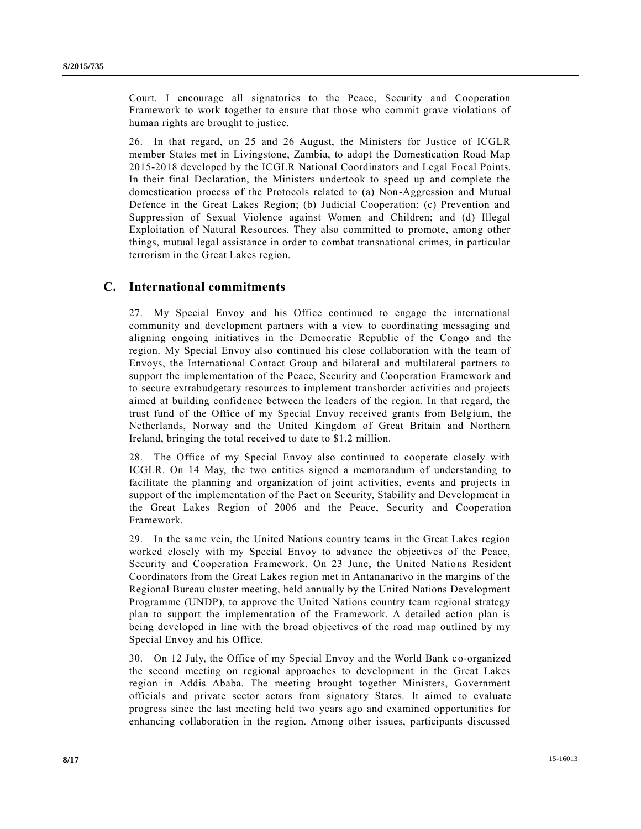Court. I encourage all signatories to the Peace, Security and Cooperation Framework to work together to ensure that those who commit grave violations of human rights are brought to justice.

26. In that regard, on 25 and 26 August, the Ministers for Justice of ICGLR member States met in Livingstone, Zambia, to adopt the Domestication Road Map 2015-2018 developed by the ICGLR National Coordinators and Legal Focal Points. In their final Declaration, the Ministers undertook to speed up and complete the domestication process of the Protocols related to (a) Non-Aggression and Mutual Defence in the Great Lakes Region; (b) Judicial Cooperation; (c) Prevention and Suppression of Sexual Violence against Women and Children; and (d) Illegal Exploitation of Natural Resources. They also committed to promote, among other things, mutual legal assistance in order to combat transnational crimes, in particular terrorism in the Great Lakes region.

### **C. International commitments**

27. My Special Envoy and his Office continued to engage the international community and development partners with a view to coordinating messaging and aligning ongoing initiatives in the Democratic Republic of the Congo and the region. My Special Envoy also continued his close collaboration with the team of Envoys, the International Contact Group and bilateral and multilateral partners to support the implementation of the Peace, Security and Cooperation Framework and to secure extrabudgetary resources to implement transborder activities and projects aimed at building confidence between the leaders of the region. In that regard, the trust fund of the Office of my Special Envoy received grants from Belgium, the Netherlands, Norway and the United Kingdom of Great Britain and Northern Ireland, bringing the total received to date to \$1.2 million.

28. The Office of my Special Envoy also continued to cooperate closely with ICGLR. On 14 May, the two entities signed a memorandum of understanding to facilitate the planning and organization of joint activities, events and projects in support of the implementation of the Pact on Security, Stability and Development in the Great Lakes Region of 2006 and the Peace, Security and Cooperation Framework.

29. In the same vein, the United Nations country teams in the Great Lakes region worked closely with my Special Envoy to advance the objectives of the Peace, Security and Cooperation Framework. On 23 June, the United Nations Resident Coordinators from the Great Lakes region met in Antananarivo in the margins of the Regional Bureau cluster meeting, held annually by the United Nations Development Programme (UNDP), to approve the United Nations country team regional strategy plan to support the implementation of the Framework. A detailed action plan is being developed in line with the broad objectives of the road map outlined by my Special Envoy and his Office.

30. On 12 July, the Office of my Special Envoy and the World Bank co-organized the second meeting on regional approaches to development in the Great Lakes region in Addis Ababa. The meeting brought together Ministers, Government officials and private sector actors from signatory States. It aimed to evaluate progress since the last meeting held two years ago and examined opportunities for enhancing collaboration in the region. Among other issues, participants discussed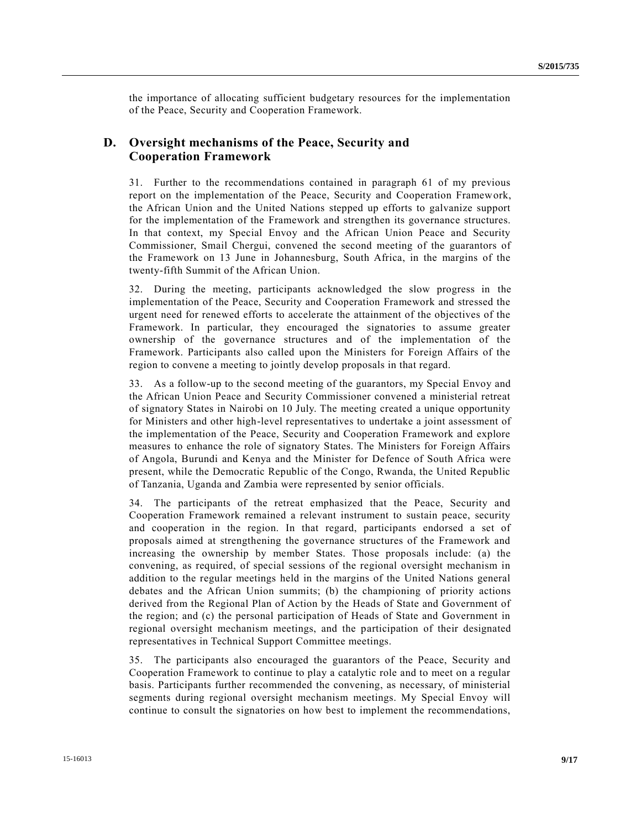the importance of allocating sufficient budgetary resources for the implementation of the Peace, Security and Cooperation Framework.

### **D. Oversight mechanisms of the Peace, Security and Cooperation Framework**

31. Further to the recommendations contained in paragraph 61 of my previous report on the implementation of the Peace, Security and Cooperation Framework, the African Union and the United Nations stepped up efforts to galvanize support for the implementation of the Framework and strengthen its governance structures. In that context, my Special Envoy and the African Union Peace and Security Commissioner, Smail Chergui, convened the second meeting of the guarantors of the Framework on 13 June in Johannesburg, South Africa, in the margins of the twenty-fifth Summit of the African Union.

32. During the meeting, participants acknowledged the slow progress in the implementation of the Peace, Security and Cooperation Framework and stressed the urgent need for renewed efforts to accelerate the attainment of the objectives of the Framework. In particular, they encouraged the signatories to assume greater ownership of the governance structures and of the implementation of the Framework. Participants also called upon the Ministers for Foreign Affairs of the region to convene a meeting to jointly develop proposals in that regard.

33. As a follow-up to the second meeting of the guarantors, my Special Envoy and the African Union Peace and Security Commissioner convened a ministerial retreat of signatory States in Nairobi on 10 July. The meeting created a unique opportunity for Ministers and other high-level representatives to undertake a joint assessment of the implementation of the Peace, Security and Cooperation Framework and explore measures to enhance the role of signatory States. The Ministers for Foreign Affairs of Angola, Burundi and Kenya and the Minister for Defence of South Africa were present, while the Democratic Republic of the Congo, Rwanda, the United Republic of Tanzania, Uganda and Zambia were represented by senior officials.

34. The participants of the retreat emphasized that the Peace, Security and Cooperation Framework remained a relevant instrument to sustain peace, security and cooperation in the region. In that regard, participants endorsed a set of proposals aimed at strengthening the governance structures of the Framework and increasing the ownership by member States. Those proposals include: (a) the convening, as required, of special sessions of the regional oversight mechanism in addition to the regular meetings held in the margins of the United Nations general debates and the African Union summits; (b) the championing of priority actions derived from the Regional Plan of Action by the Heads of State and Government of the region; and (c) the personal participation of Heads of State and Government in regional oversight mechanism meetings, and the participation of their designated representatives in Technical Support Committee meetings.

35. The participants also encouraged the guarantors of the Peace, Security and Cooperation Framework to continue to play a catalytic role and to meet on a regular basis. Participants further recommended the convening, as necessary, of ministerial segments during regional oversight mechanism meetings. My Special Envoy will continue to consult the signatories on how best to implement the recommendations,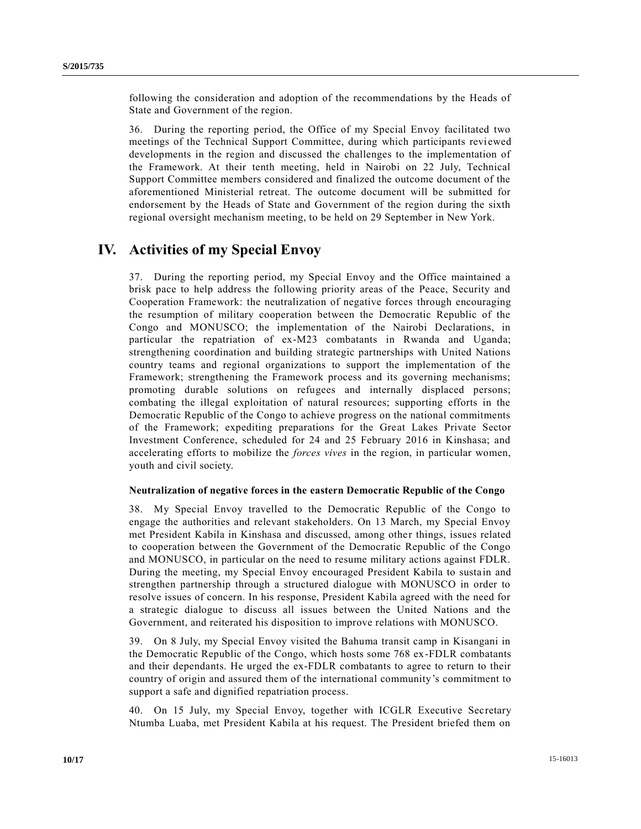following the consideration and adoption of the recommendations by the Heads of State and Government of the region.

36. During the reporting period, the Office of my Special Envoy facilitated two meetings of the Technical Support Committee, during which participants reviewed developments in the region and discussed the challenges to the implementation of the Framework. At their tenth meeting, held in Nairobi on 22 July, Technical Support Committee members considered and finalized the outcome document of the aforementioned Ministerial retreat. The outcome document will be submitted for endorsement by the Heads of State and Government of the region during the sixth regional oversight mechanism meeting, to be held on 29 September in New York.

## **IV. Activities of my Special Envoy**

37. During the reporting period, my Special Envoy and the Office maintained a brisk pace to help address the following priority areas of the Peace, Security and Cooperation Framework: the neutralization of negative forces through encouraging the resumption of military cooperation between the Democratic Republic of the Congo and MONUSCO; the implementation of the Nairobi Declarations, in particular the repatriation of ex-M23 combatants in Rwanda and Uganda; strengthening coordination and building strategic partnerships with United Nations country teams and regional organizations to support the implementation of the Framework; strengthening the Framework process and its governing mechanisms; promoting durable solutions on refugees and internally displaced persons; combating the illegal exploitation of natural resources; supporting efforts in the Democratic Republic of the Congo to achieve progress on the national commitments of the Framework; expediting preparations for the Great Lakes Private Sector Investment Conference, scheduled for 24 and 25 February 2016 in Kinshasa; and accelerating efforts to mobilize the *forces vives* in the region, in particular women, youth and civil society.

#### **Neutralization of negative forces in the eastern Democratic Republic of the Congo**

38. My Special Envoy travelled to the Democratic Republic of the Congo to engage the authorities and relevant stakeholders. On 13 March, my Special Envoy met President Kabila in Kinshasa and discussed, among other things, issues related to cooperation between the Government of the Democratic Republic of the Congo and MONUSCO, in particular on the need to resume military actions against FDLR. During the meeting, my Special Envoy encouraged President Kabila to sustain and strengthen partnership through a structured dialogue with MONUSCO in order to resolve issues of concern. In his response, President Kabila agreed with the need for a strategic dialogue to discuss all issues between the United Nations and the Government, and reiterated his disposition to improve relations with MONUSCO.

39. On 8 July, my Special Envoy visited the Bahuma transit camp in Kisangani in the Democratic Republic of the Congo, which hosts some 768 ex-FDLR combatants and their dependants. He urged the ex-FDLR combatants to agree to return to their country of origin and assured them of the international community's commitment to support a safe and dignified repatriation process.

40. On 15 July, my Special Envoy, together with ICGLR Executive Secretary Ntumba Luaba, met President Kabila at his request. The President briefed them on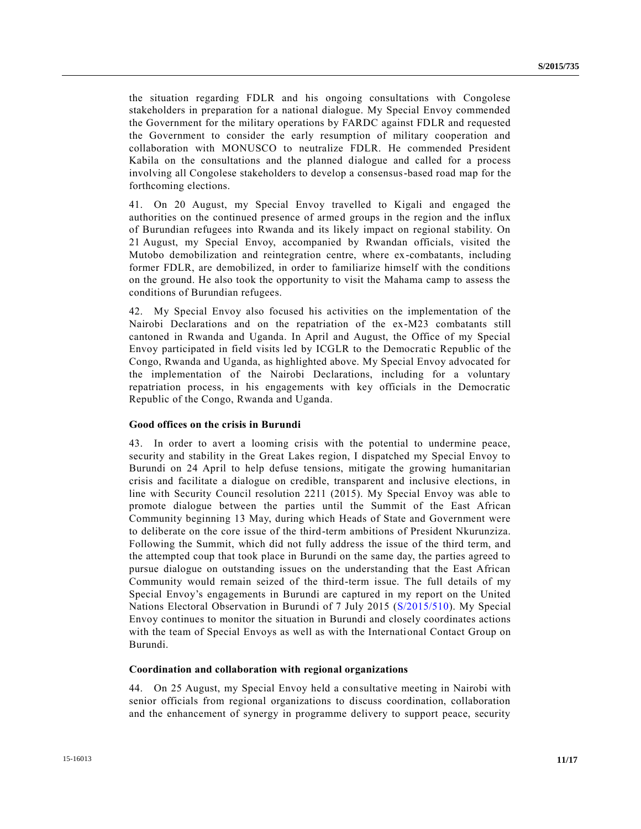the situation regarding FDLR and his ongoing consultations with Congolese stakeholders in preparation for a national dialogue. My Special Envoy commended the Government for the military operations by FARDC against FDLR and requested the Government to consider the early resumption of military cooperation and collaboration with MONUSCO to neutralize FDLR. He commended President Kabila on the consultations and the planned dialogue and called for a process involving all Congolese stakeholders to develop a consensus-based road map for the forthcoming elections.

41. On 20 August, my Special Envoy travelled to Kigali and engaged the authorities on the continued presence of armed groups in the region and the influx of Burundian refugees into Rwanda and its likely impact on regional stability. On 21 August, my Special Envoy, accompanied by Rwandan officials, visited the Mutobo demobilization and reintegration centre, where ex-combatants, including former FDLR, are demobilized, in order to familiarize himself with the conditions on the ground. He also took the opportunity to visit the Mahama camp to assess the conditions of Burundian refugees.

42. My Special Envoy also focused his activities on the implementation of the Nairobi Declarations and on the repatriation of the ex-M23 combatants still cantoned in Rwanda and Uganda. In April and August, the Office of my Special Envoy participated in field visits led by ICGLR to the Democratic Republic of the Congo, Rwanda and Uganda, as highlighted above. My Special Envoy advocated for the implementation of the Nairobi Declarations, including for a voluntary repatriation process, in his engagements with key officials in the Democratic Republic of the Congo, Rwanda and Uganda.

#### **Good offices on the crisis in Burundi**

43. In order to avert a looming crisis with the potential to undermine peace, security and stability in the Great Lakes region, I dispatched my Special Envoy to Burundi on 24 April to help defuse tensions, mitigate the growing humanitarian crisis and facilitate a dialogue on credible, transparent and inclusive elections, in line with Security Council resolution 2211 (2015). My Special Envoy was able to promote dialogue between the parties until the Summit of the East African Community beginning 13 May, during which Heads of State and Government were to deliberate on the core issue of the third-term ambitions of President Nkurunziza. Following the Summit, which did not fully address the issue of the third term, and the attempted coup that took place in Burundi on the same day, the parties agreed to pursue dialogue on outstanding issues on the understanding that the East African Community would remain seized of the third-term issue. The full details of my Special Envoy's engagements in Burundi are captured in my report on the United Nations Electoral Observation in Burundi of 7 July 2015 [\(S/2015/510\)](http://undocs.org/S/2015/510). My Special Envoy continues to monitor the situation in Burundi and closely coordinates actions with the team of Special Envoys as well as with the International Contact Group on Burundi.

#### **Coordination and collaboration with regional organizations**

44. On 25 August, my Special Envoy held a consultative meeting in Nairobi with senior officials from regional organizations to discuss coordination, collaboration and the enhancement of synergy in programme delivery to support peace, security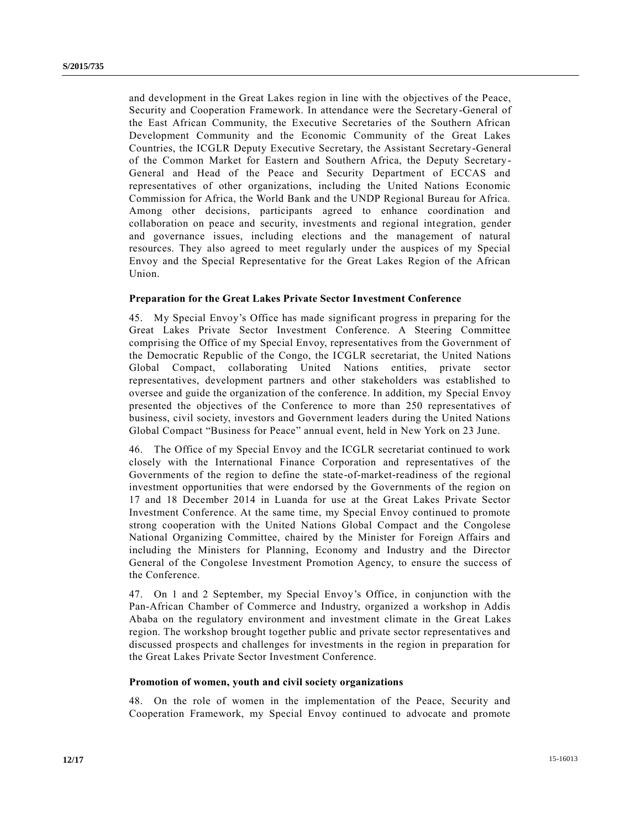and development in the Great Lakes region in line with the objectives of the Peace, Security and Cooperation Framework. In attendance were the Secretary-General of the East African Community, the Executive Secretaries of the Southern African Development Community and the Economic Community of the Great Lakes Countries, the ICGLR Deputy Executive Secretary, the Assistant Secretary-General of the Common Market for Eastern and Southern Africa, the Deputy Secretary-General and Head of the Peace and Security Department of ECCAS and representatives of other organizations, including the United Nations Economic Commission for Africa, the World Bank and the UNDP Regional Bureau for Africa. Among other decisions, participants agreed to enhance coordination and collaboration on peace and security, investments and regional integration, gender and governance issues, including elections and the management of natural resources. They also agreed to meet regularly under the auspices of my Special Envoy and the Special Representative for the Great Lakes Region of the African Union.

#### **Preparation for the Great Lakes Private Sector Investment Conference**

45. My Special Envoy's Office has made significant progress in preparing for the Great Lakes Private Sector Investment Conference. A Steering Committee comprising the Office of my Special Envoy, representatives from the Government of the Democratic Republic of the Congo, the ICGLR secretariat, the United Nations Global Compact, collaborating United Nations entities, private sector representatives, development partners and other stakeholders was established to oversee and guide the organization of the conference. In addition, my Special Envoy presented the objectives of the Conference to more than 250 representatives of business, civil society, investors and Government leaders during the United Nations Global Compact "Business for Peace" annual event, held in New York on 23 June.

46. The Office of my Special Envoy and the ICGLR secretariat continued to work closely with the International Finance Corporation and representatives of the Governments of the region to define the state-of-market-readiness of the regional investment opportunities that were endorsed by the Governments of the region on 17 and 18 December 2014 in Luanda for use at the Great Lakes Private Sector Investment Conference. At the same time, my Special Envoy continued to promote strong cooperation with the United Nations Global Compact and the Congolese National Organizing Committee, chaired by the Minister for Foreign Affairs and including the Ministers for Planning, Economy and Industry and the Director General of the Congolese Investment Promotion Agency, to ensure the success of the Conference.

47. On 1 and 2 September, my Special Envoy's Office, in conjunction with the Pan-African Chamber of Commerce and Industry, organized a workshop in Addis Ababa on the regulatory environment and investment climate in the Great Lakes region. The workshop brought together public and private sector representatives and discussed prospects and challenges for investments in the region in preparation for the Great Lakes Private Sector Investment Conference.

#### **Promotion of women, youth and civil society organizations**

48. On the role of women in the implementation of the Peace, Security and Cooperation Framework, my Special Envoy continued to advocate and promote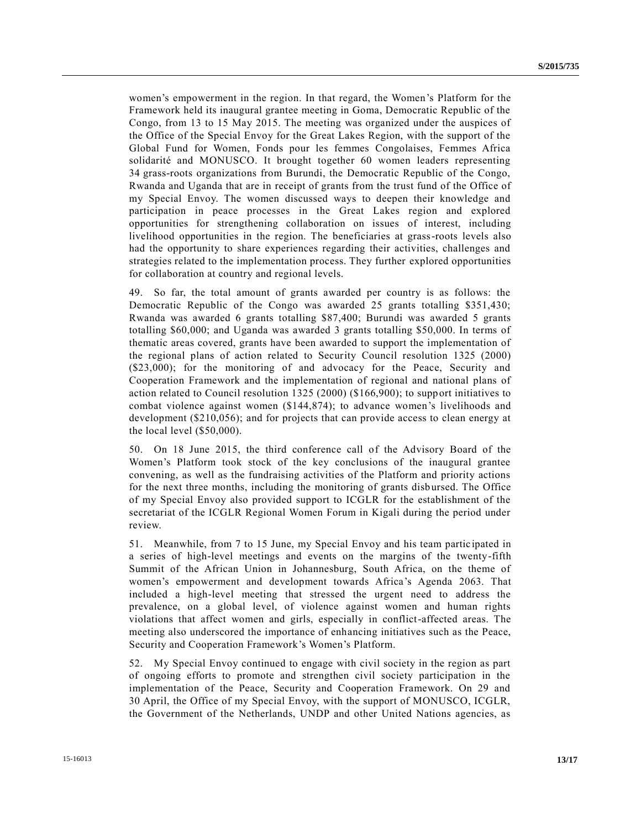women's empowerment in the region. In that regard, the Women's Platform for the Framework held its inaugural grantee meeting in Goma, Democratic Republic of the Congo, from 13 to 15 May 2015. The meeting was organized under the auspices of the Office of the Special Envoy for the Great Lakes Region, with the support of the Global Fund for Women, Fonds pour les femmes Congolaises, Femmes Africa solidarité and MONUSCO. It brought together 60 women leaders representing 34 grass-roots organizations from Burundi, the Democratic Republic of the Congo, Rwanda and Uganda that are in receipt of grants from the trust fund of the Office of my Special Envoy. The women discussed ways to deepen their knowledge and participation in peace processes in the Great Lakes region and explored opportunities for strengthening collaboration on issues of interest, including livelihood opportunities in the region. The beneficiaries at grass-roots levels also had the opportunity to share experiences regarding their activities, challenges and strategies related to the implementation process. They further explored opportunities for collaboration at country and regional levels.

49. So far, the total amount of grants awarded per country is as follows: the Democratic Republic of the Congo was awarded 25 grants totalling \$351,430; Rwanda was awarded 6 grants totalling \$87,400; Burundi was awarded 5 grants totalling \$60,000; and Uganda was awarded 3 grants totalling \$50,000. In terms of thematic areas covered, grants have been awarded to support the implementation of the regional plans of action related to Security Council resolution 1325 (2000) (\$23,000); for the monitoring of and advocacy for the Peace, Security and Cooperation Framework and the implementation of regional and national plans of action related to Council resolution 1325 (2000) (\$166,900); to support initiatives to combat violence against women (\$144,874); to advance women's livelihoods and development (\$210,056); and for projects that can provide access to clean energy at the local level (\$50,000).

50. On 18 June 2015, the third conference call of the Advisory Board of the Women's Platform took stock of the key conclusions of the inaugural grantee convening, as well as the fundraising activities of the Platform and priority actions for the next three months, including the monitoring of grants disbursed. The Office of my Special Envoy also provided support to ICGLR for the establishment of the secretariat of the ICGLR Regional Women Forum in Kigali during the period under review.

51. Meanwhile, from 7 to 15 June, my Special Envoy and his team partic ipated in a series of high-level meetings and events on the margins of the twenty-fifth Summit of the African Union in Johannesburg, South Africa, on the theme of women's empowerment and development towards Africa's Agenda 2063. That included a high-level meeting that stressed the urgent need to address the prevalence, on a global level, of violence against women and human rights violations that affect women and girls, especially in conflict-affected areas. The meeting also underscored the importance of enhancing initiatives such as the Peace, Security and Cooperation Framework's Women's Platform.

52. My Special Envoy continued to engage with civil society in the region as part of ongoing efforts to promote and strengthen civil society participation in the implementation of the Peace, Security and Cooperation Framework. On 29 and 30 April, the Office of my Special Envoy, with the support of MONUSCO, ICGLR, the Government of the Netherlands, UNDP and other United Nations agencies, as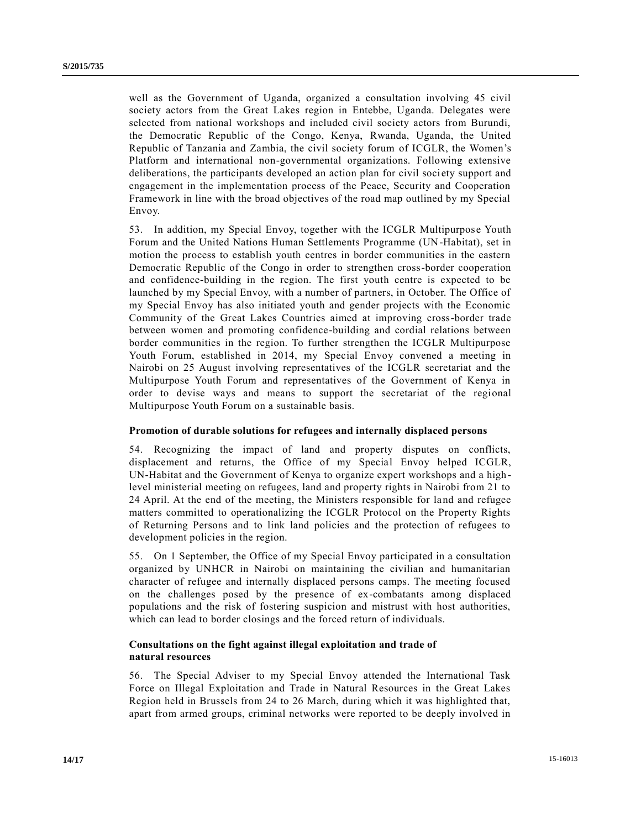well as the Government of Uganda, organized a consultation involving 45 civil society actors from the Great Lakes region in Entebbe, Uganda. Delegates were selected from national workshops and included civil society actors from Burundi, the Democratic Republic of the Congo, Kenya, Rwanda, Uganda, the United Republic of Tanzania and Zambia, the civil society forum of ICGLR, the Women's Platform and international non-governmental organizations. Following extensive deliberations, the participants developed an action plan for civil society support and engagement in the implementation process of the Peace, Security and Cooperation Framework in line with the broad objectives of the road map outlined by my Special Envoy.

53. In addition, my Special Envoy, together with the ICGLR Multipurpose Youth Forum and the United Nations Human Settlements Programme (UN-Habitat), set in motion the process to establish youth centres in border communities in the eastern Democratic Republic of the Congo in order to strengthen cross-border cooperation and confidence-building in the region. The first youth centre is expected to be launched by my Special Envoy, with a number of partners, in October. The Office of my Special Envoy has also initiated youth and gender projects with the Economic Community of the Great Lakes Countries aimed at improving cross-border trade between women and promoting confidence-building and cordial relations between border communities in the region. To further strengthen the ICGLR Multipurpose Youth Forum, established in 2014, my Special Envoy convened a meeting in Nairobi on 25 August involving representatives of the ICGLR secretariat and the Multipurpose Youth Forum and representatives of the Government of Kenya in order to devise ways and means to support the secretariat of the regional Multipurpose Youth Forum on a sustainable basis.

#### **Promotion of durable solutions for refugees and internally displaced persons**

54. Recognizing the impact of land and property disputes on conflicts, displacement and returns, the Office of my Special Envoy helped ICGLR, UN-Habitat and the Government of Kenya to organize expert workshops and a high level ministerial meeting on refugees, land and property rights in Nairobi from 21 to 24 April. At the end of the meeting, the Ministers responsible for land and refugee matters committed to operationalizing the ICGLR Protocol on the Property Rights of Returning Persons and to link land policies and the protection of refugees to development policies in the region.

55. On 1 September, the Office of my Special Envoy participated in a consultation organized by UNHCR in Nairobi on maintaining the civilian and humanitarian character of refugee and internally displaced persons camps. The meeting focused on the challenges posed by the presence of ex-combatants among displaced populations and the risk of fostering suspicion and mistrust with host authorities, which can lead to border closings and the forced return of individuals.

#### **Consultations on the fight against illegal exploitation and trade of natural resources**

56. The Special Adviser to my Special Envoy attended the International Task Force on Illegal Exploitation and Trade in Natural Resources in the Great Lakes Region held in Brussels from 24 to 26 March, during which it was highlighted that, apart from armed groups, criminal networks were reported to be deeply involved in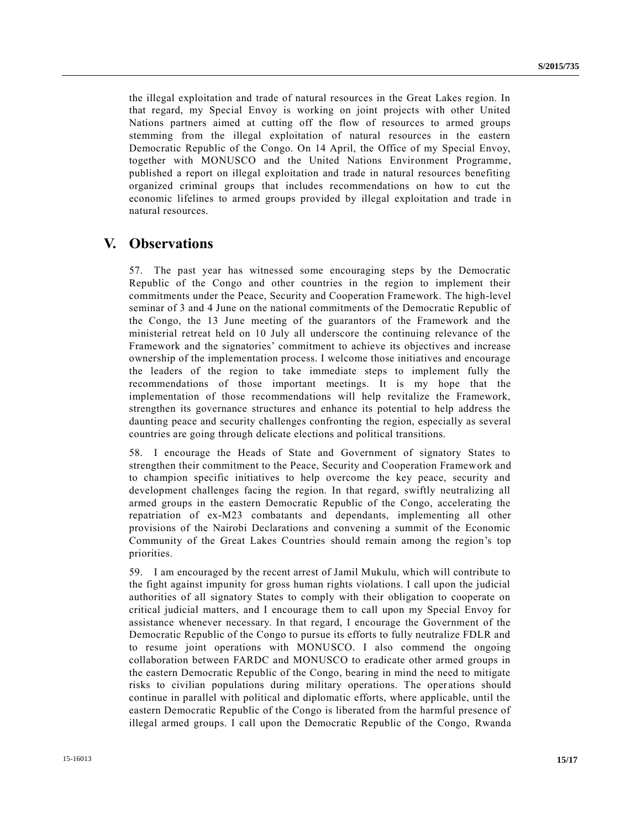the illegal exploitation and trade of natural resources in the Great Lakes region. In that regard, my Special Envoy is working on joint projects with other United Nations partners aimed at cutting off the flow of resources to armed groups stemming from the illegal exploitation of natural resources in the eastern Democratic Republic of the Congo. On 14 April, the Office of my Special Envoy, together with MONUSCO and the United Nations Environment Programme, published a report on illegal exploitation and trade in natural resources benefiting organized criminal groups that includes recommendations on how to cut the economic lifelines to armed groups provided by illegal exploitation and trade in natural resources.

### **V. Observations**

57. The past year has witnessed some encouraging steps by the Democratic Republic of the Congo and other countries in the region to implement their commitments under the Peace, Security and Cooperation Framework. The high-level seminar of 3 and 4 June on the national commitments of the Democratic Republic of the Congo, the 13 June meeting of the guarantors of the Framework and the ministerial retreat held on 10 July all underscore the continuing relevance of the Framework and the signatories' commitment to achieve its objectives and increase ownership of the implementation process. I welcome those initiatives and encourage the leaders of the region to take immediate steps to implement fully the recommendations of those important meetings. It is my hope that the implementation of those recommendations will help revitalize the Framework, strengthen its governance structures and enhance its potential to help address the daunting peace and security challenges confronting the region, especially as several countries are going through delicate elections and political transitions.

58. I encourage the Heads of State and Government of signatory States to strengthen their commitment to the Peace, Security and Cooperation Framework and to champion specific initiatives to help overcome the key peace, security and development challenges facing the region. In that regard, swiftly neutralizing all armed groups in the eastern Democratic Republic of the Congo, accelerating the repatriation of ex-M23 combatants and dependants, implementing all other provisions of the Nairobi Declarations and convening a summit of the Economic Community of the Great Lakes Countries should remain among the region's top priorities.

59. I am encouraged by the recent arrest of Jamil Mukulu, which will contribute to the fight against impunity for gross human rights violations. I call upon the judicial authorities of all signatory States to comply with their obligation to cooperate on critical judicial matters, and I encourage them to call upon my Special Envoy for assistance whenever necessary. In that regard, I encourage the Government of the Democratic Republic of the Congo to pursue its efforts to fully neutralize FDLR and to resume joint operations with MONUSCO. I also commend the ongoing collaboration between FARDC and MONUSCO to eradicate other armed groups in the eastern Democratic Republic of the Congo, bearing in mind the need to mitigate risks to civilian populations during military operations. The operations should continue in parallel with political and diplomatic efforts, where applicable, until the eastern Democratic Republic of the Congo is liberated from the harmful presence of illegal armed groups. I call upon the Democratic Republic of the Congo, Rwanda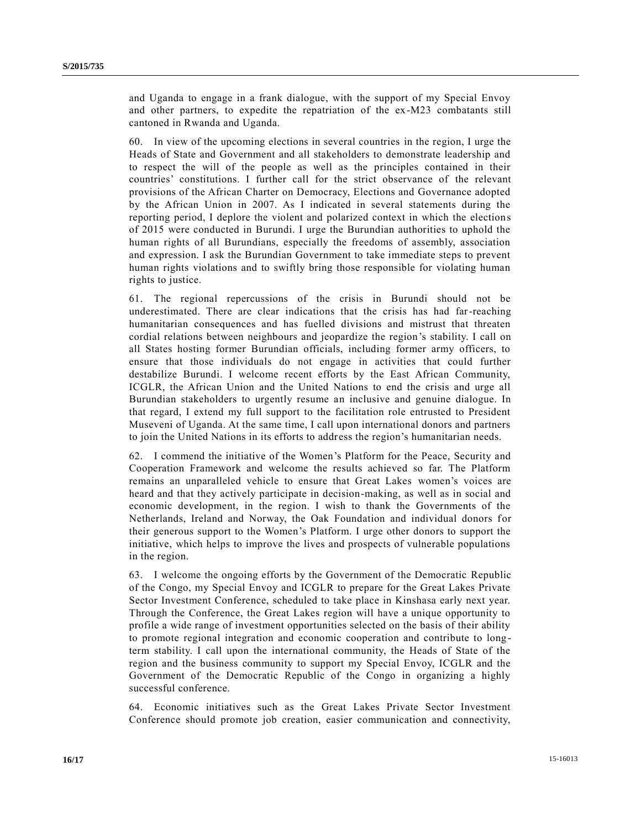and Uganda to engage in a frank dialogue, with the support of my Special Envoy and other partners, to expedite the repatriation of the ex-M23 combatants still cantoned in Rwanda and Uganda.

60. In view of the upcoming elections in several countries in the region, I urge the Heads of State and Government and all stakeholders to demonstrate leadership and to respect the will of the people as well as the principles contained in their countries' constitutions. I further call for the strict observance of the relevant provisions of the African Charter on Democracy, Elections and Governance adopted by the African Union in 2007. As I indicated in several statements during the reporting period, I deplore the violent and polarized context in which the election s of 2015 were conducted in Burundi. I urge the Burundian authorities to uphold the human rights of all Burundians, especially the freedoms of assembly, association and expression. I ask the Burundian Government to take immediate steps to prevent human rights violations and to swiftly bring those responsible for violating human rights to justice.

61. The regional repercussions of the crisis in Burundi should not be underestimated. There are clear indications that the crisis has had far-reaching humanitarian consequences and has fuelled divisions and mistrust that threaten cordial relations between neighbours and jeopardize the region's stability. I call on all States hosting former Burundian officials, including former army officers, to ensure that those individuals do not engage in activities that could further destabilize Burundi. I welcome recent efforts by the East African Community, ICGLR, the African Union and the United Nations to end the crisis and urge all Burundian stakeholders to urgently resume an inclusive and genuine dialogue. In that regard, I extend my full support to the facilitation role entrusted to President Museveni of Uganda. At the same time, I call upon international donors and partners to join the United Nations in its efforts to address the region's humanitarian needs.

62. I commend the initiative of the Women's Platform for the Peace, Security and Cooperation Framework and welcome the results achieved so far. The Platform remains an unparalleled vehicle to ensure that Great Lakes women's voices are heard and that they actively participate in decision-making, as well as in social and economic development, in the region. I wish to thank the Governments of the Netherlands, Ireland and Norway, the Oak Foundation and individual donors for their generous support to the Women's Platform. I urge other donors to support the initiative, which helps to improve the lives and prospects of vulnerable populations in the region.

63. I welcome the ongoing efforts by the Government of the Democratic Republic of the Congo, my Special Envoy and ICGLR to prepare for the Great Lakes Private Sector Investment Conference, scheduled to take place in Kinshasa early next year. Through the Conference, the Great Lakes region will have a unique opportunity to profile a wide range of investment opportunities selected on the basis of their ability to promote regional integration and economic cooperation and contribute to long term stability. I call upon the international community, the Heads of State of the region and the business community to support my Special Envoy, ICGLR and the Government of the Democratic Republic of the Congo in organizing a highly successful conference.

64. Economic initiatives such as the Great Lakes Private Sector Investment Conference should promote job creation, easier communication and connectivity,